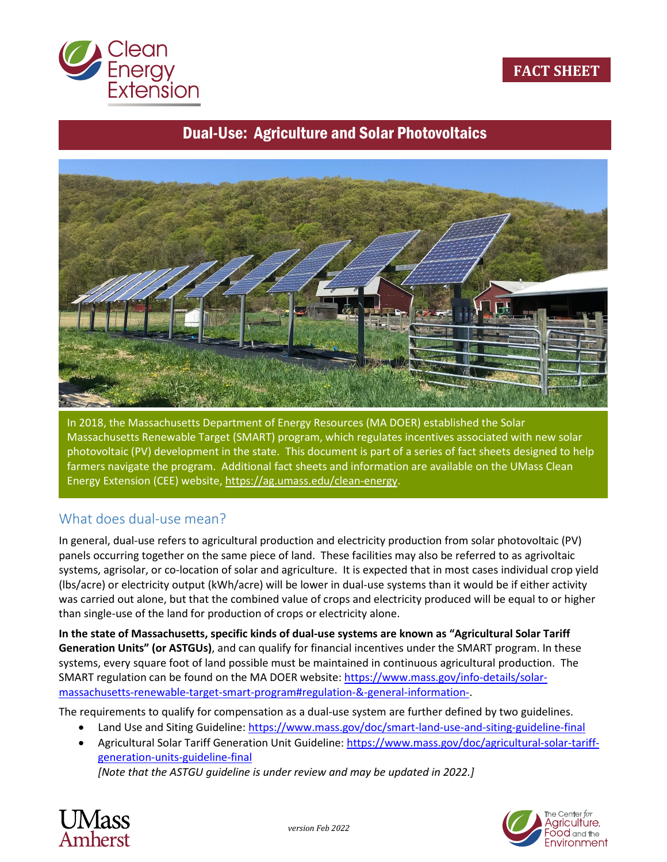

#### **FACT SHEET**

# Dual-Use: Agriculture and Solar Photovoltaics



In 2018, the Massachusetts Department of Energy Resources (MA DOER) established the Solar Massachusetts Renewable Target (SMART) program, which regulates incentives associated with new solar photovoltaic (PV) development in the state. This document is part of a series of fact sheets designed to help farmers navigate the program. Additional fact sheets and information are available on the UMass Clean Energy Extension (CEE) website[, https://ag.umass.edu/clean-energy.](https://ag.umass.edu/clean-energy)

#### What does dual-use mean?

In general, dual-use refers to agricultural production and electricity production from solar photovoltaic (PV) panels occurring together on the same piece of land. These facilities may also be referred to as agrivoltaic systems, agrisolar, or co-location of solar and agriculture. It is expected that in most cases individual crop yield (lbs/acre) or electricity output (kWh/acre) will be lower in dual-use systems than it would be if either activity was carried out alone, but that the combined value of crops and electricity produced will be equal to or higher than single-use of the land for production of crops or electricity alone.

**In the state of Massachusetts, specific kinds of dual-use systems are known as "Agricultural Solar Tariff Generation Units" (or ASTGUs)**, and can qualify for financial incentives under the SMART program. In these systems, every square foot of land possible must be maintained in continuous agricultural production. The SMART regulation can be found on the MA DOER website: [https://www.mass.gov/info-details/solar](https://www.mass.gov/info-details/solar-massachusetts-renewable-target-smart-program%23regulation-&-general-information-)[massachusetts-renewable-target-smart-program#regulation-&-general-information-.](https://www.mass.gov/info-details/solar-massachusetts-renewable-target-smart-program%23regulation-&-general-information-)

The requirements to qualify for compensation as a dual-use system are further defined by two guidelines.

- Land Use and Siting Guideline: <https://www.mass.gov/doc/smart-land-use-and-siting-guideline-final>
- Agricultural Solar Tariff Generation Unit Guideline: [https://www.mass.gov/doc/agricultural-solar-tariff](https://www.mass.gov/doc/agricultural-solar-tariff-generation-units-guideline-final)[generation-units-guideline-final](https://www.mass.gov/doc/agricultural-solar-tariff-generation-units-guideline-final)

*[Note that the ASTGU guideline is under review and may be updated in 2022.]*



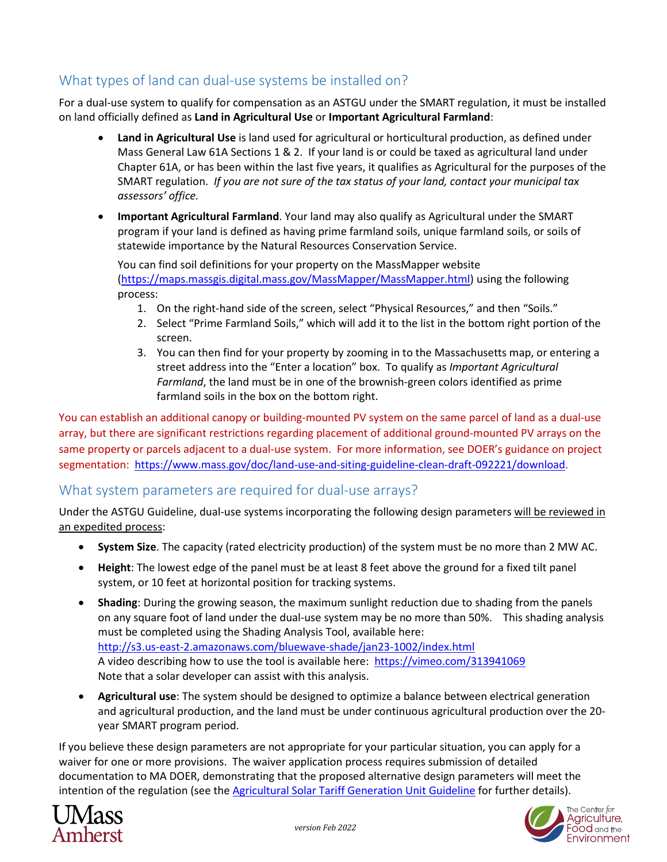## What types of land can dual-use systems be installed on?

For a dual-use system to qualify for compensation as an ASTGU under the SMART regulation, it must be installed on land officially defined as **Land in Agricultural Use** or **Important Agricultural Farmland**:

- **Land in Agricultural Use** is land used for agricultural or horticultural production, as defined under Mass General Law 61A Sections 1 & 2. If your land is or could be taxed as agricultural land under Chapter 61A, or has been within the last five years, it qualifies as Agricultural for the purposes of the SMART regulation. *If you are not sure of the tax status of your land, contact your municipal tax assessors' office.*
- **Important Agricultural Farmland**. Your land may also qualify as Agricultural under the SMART program if your land is defined as having prime farmland soils, unique farmland soils, or soils of statewide importance by the Natural Resources Conservation Service.

You can find soil definitions for your property on the MassMapper website [\(https://maps.massgis.digital.mass.gov/MassMapper/MassMapper.html\)](https://maps.massgis.digital.mass.gov/MassMapper/MassMapper.html) using the following process:

- 1. On the right-hand side of the screen, select "Physical Resources," and then "Soils."
- 2. Select "Prime Farmland Soils," which will add it to the list in the bottom right portion of the screen.
- 3. You can then find for your property by zooming in to the Massachusetts map, or entering a street address into the "Enter a location" box. To qualify as *Important Agricultural Farmland*, the land must be in one of the brownish-green colors identified as prime farmland soils in the box on the bottom right.

You can establish an additional canopy or building-mounted PV system on the same parcel of land as a dual-use array, but there are significant restrictions regarding placement of additional ground-mounted PV arrays on the same property or parcels adjacent to a dual-use system. For more information, see DOER's guidance on project segmentation: [https://www.mass.gov/doc/land-use-and-siting-guideline-clean-draft-092221/download.](https://www.mass.gov/doc/land-use-and-siting-guideline-clean-draft-092221/download)

### What system parameters are required for dual-use arrays?

Under the ASTGU Guideline, dual-use systems incorporating the following design parameters will be reviewed in an expedited process:

- **System Size**. The capacity (rated electricity production) of the system must be no more than 2 MW AC.
- **Height**: The lowest edge of the panel must be at least 8 feet above the ground for a fixed tilt panel system, or 10 feet at horizontal position for tracking systems.
- **Shading**: During the growing season, the maximum sunlight reduction due to shading from the panels on any square foot of land under the dual-use system may be no more than 50%. This shading analysis must be completed using the Shading Analysis Tool, available here: <http://s3.us-east-2.amazonaws.com/bluewave-shade/jan23-1002/index.html> A video describing how to use the tool is available here:<https://vimeo.com/313941069> Note that a solar developer can assist with this analysis.
- **Agricultural use**: The system should be designed to optimize a balance between electrical generation and agricultural production, and the land must be under continuous agricultural production over the 20 year SMART program period.

If you believe these design parameters are not appropriate for your particular situation, you can apply for a waiver for one or more provisions. The waiver application process requires submission of detailed documentation to MA DOER, demonstrating that the proposed alternative design parameters will meet the intention of the regulation (see th[e Agricultural Solar Tariff Generation Unit Guideline](https://www.mass.gov/doc/agricultural-solar-tariff-generation-units-guideline-final) for further details).